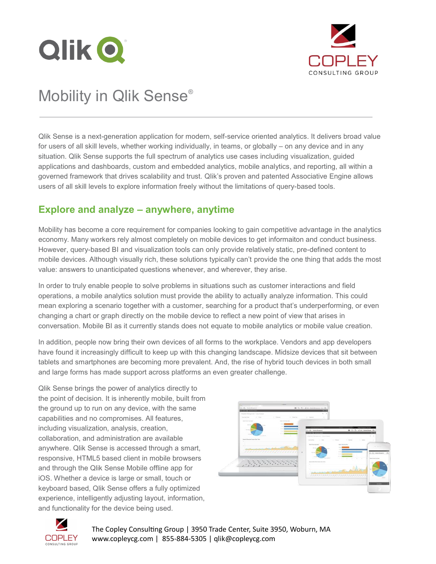



# Mobility in Qlik Sense®

Qlik Sense is a next-generation application for modern, self-service oriented analytics. It delivers broad value for users of all skill levels, whether working individually, in teams, or globally – on any device and in any situation. Qlik Sense supports the full spectrum of analytics use cases including visualization, guided applications and dashboards, custom and embedded analytics, mobile analytics, and reporting, all within a governed framework that drives scalability and trust. Qlik's proven and patented Associative Engine allows users of all skill levels to explore information freely without the limitations of query-based tools.

## **Explore and analyze – anywhere, anytime**

Mobility has become a core requirement for companies looking to gain competitive advantage in the analytics economy. Many workers rely almost completely on mobile devices to get informaiton and conduct business. However, query-based BI and visualization tools can only provide relatively static, pre-defined content to mobile devices. Although visually rich, these solutions typically can't provide the one thing that adds the most value: answers to unanticipated questions whenever, and wherever, they arise.

In order to truly enable people to solve problems in situations such as customer interactions and field operations, a mobile analytics solution must provide the ability to actually analyze information. This could mean exploring a scenario together with a customer, searching for a product that's underperforming, or even changing a chart or graph directly on the mobile device to reflect a new point of view that arises in conversation. Mobile BI as it currently stands does not equate to mobile analytics or mobile value creation.

In addition, people now bring their own devices of all forms to the workplace. Vendors and app developers have found it increasingly difficult to keep up with this changing landscape. Midsize devices that sit between tablets and smartphones are becoming more prevalent. And, the rise of hybrid touch devices in both small and large forms has made support across platforms an even greater challenge.

Qlik Sense brings the power of analytics directly to the point of decision. It is inherently mobile, built from the ground up to run on any device, with the same capabilities and no compromises. All features, including visualization, analysis, creation, collaboration, and administration are available anywhere. Qlik Sense is accessed through a smart, responsive, HTML5 based client in mobile browsers and through the Qlik Sense Mobile offline app for iOS. Whether a device is large or small, touch or keyboard based, Qlik Sense offers a fully optimized experience, intelligently adjusting layout, information, and functionality for the device being used.





Mobility in Qlik Sense | 1 The Copley Consulting Group | 3950 Trade Center, Suite 3950, Woburn, MA www.copleycg.com | 855-884-5305 | qlik@copleycg.com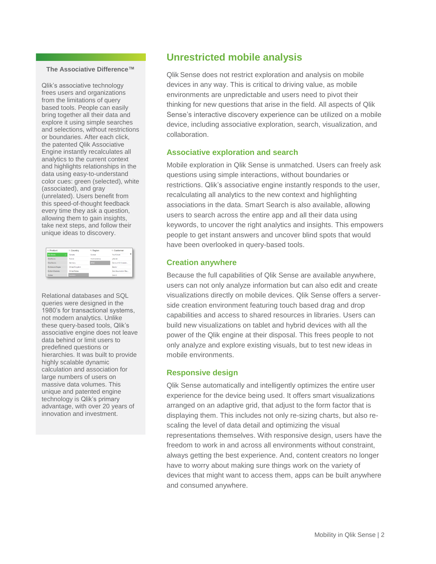#### **The Associative Difference™**

Qlik's associative technology frees users and organizations from the limitations of query based tools. People can easily bring together all their data and explore it using simple searches and selections, without restrictions or boundaries. After each click, the patented Qlik Associative Engine instantly recalculates all analytics to the current context and highlights relationships in the data using easy-to-understand color cues: green (selected), white (associated), and gray (unrelated). Users benefit from this speed-of-thought feedback every time they ask a question, allowing them to gain insights, take next steps, and follow their unique ideas to discovery.

| Q Product              | Q. Country            | Q Region      | Q. Customer           |
|------------------------|-----------------------|---------------|-----------------------|
| <b>Bib-Shorts</b>      | Canada<br>٠           | Europe        | YourFuture            |
| <b>Rike Racks</b>      | France                | North America | ySecret               |
| <b>Bike Stands</b>     | Germany               | <b>APAC</b>   | Zentrum für Interakti |
| Bottles and Capes      | <b>United Kinodom</b> |               | Zephur                |
| <b>Rottom Rrackets</b> | <b>United States</b>  |               | Zero Assumption Rec   |
| Brakes                 | Australia             |               | Zero G                |

Relational databases and SQL queries were designed in the 1980's for transactional systems, not modern analytics. Unlike these query-based tools, Qlik's associative engine does not leave data behind or limit users to predefined questions or hierarchies. It was built to provide highly scalable dynamic calculation and association for large numbers of users on massive data volumes. This unique and patented engine technology is Qlik's primary advantage, with over 20 years of innovation and investment.

## **Unrestricted mobile analysis**

Qlik Sense does not restrict exploration and analysis on mobile devices in any way. This is critical to driving value, as mobile environments are unpredictable and users need to pivot their thinking for new questions that arise in the field. All aspects of Qlik Sense's interactive discovery experience can be utilized on a mobile device, including associative exploration, search, visualization, and collaboration.

#### **Associative exploration and search**

Mobile exploration in Qlik Sense is unmatched. Users can freely ask questions using simple interactions, without boundaries or restrictions. Qlik's associative engine instantly responds to the user, recalculating all analytics to the new context and highlighting associations in the data. Smart Search is also available, allowing users to search across the entire app and all their data using keywords, to uncover the right analytics and insights. This empowers people to get instant answers and uncover blind spots that would have been overlooked in query-based tools.

### **Creation anywhere**

Because the full capabilities of Qlik Sense are available anywhere, users can not only analyze information but can also edit and create visualizations directly on mobile devices. Qlik Sense offers a serverside creation environment featuring touch based drag and drop capabilities and access to shared resources in libraries. Users can build new visualizations on tablet and hybrid devices with all the power of the Qlik engine at their disposal. This frees people to not only analyze and explore existing visuals, but to test new ideas in mobile environments.

#### **Responsive design**

Qlik Sense automatically and intelligently optimizes the entire user experience for the device being used. It offers smart visualizations arranged on an adaptive grid, that adjust to the form factor that is displaying them. This includes not only re-sizing charts, but also rescaling the level of data detail and optimizing the visual representations themselves. With responsive design, users have the freedom to work in and across all environments without constraint, always getting the best experience. And, content creators no longer have to worry about making sure things work on the variety of devices that might want to access them, apps can be built anywhere and consumed anywhere.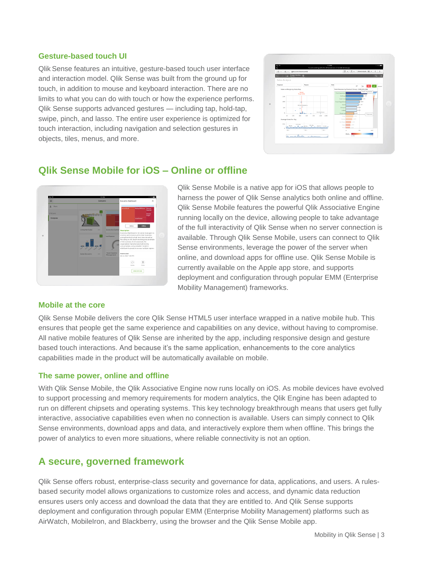#### **Gesture-based touch UI**

Qlik Sense features an intuitive, gesture-based touch user interface and interaction model. Qlik Sense was built from the ground up for touch, in addition to mouse and keyboard interaction. There are no limits to what you can do with touch or how the experience performs. Qlik Sense supports advanced gestures — including tap, hold-tap, swipe, pinch, and lasso. The entire user experience is optimized for touch interaction, including navigation and selection gestures in objects, tiles, menus, and more.



## **Qlik Sense Mobile for iOS – Online or offline**



#### **Mobile at the core**

Qlik Sense Mobile is a native app for iOS that allows people to harness the power of Qlik Sense analytics both online and offline. Qlik Sense Mobile features the powerful Qlik Associative Engine running locally on the device, allowing people to take advantage of the full interactivity of Qlik Sense when no server connection is available. Through Qlik Sense Mobile, users can connect to Qlik Sense environments, leverage the power of the server when online, and download apps for offline use. Qlik Sense Mobile is currently available on the Apple app store, and supports deployment and configuration through popular EMM (Enterprise Mobility Management) frameworks.

Qlik Sense Mobile delivers the core Qlik Sense HTML5 user interface wrapped in a native mobile hub. This ensures that people get the same experience and capabilities on any device, without having to compromise. All native mobile features of Qlik Sense are inherited by the app, including responsive design and gesture based touch interactions. And because it's the same application, enhancements to the core analytics capabilities made in the product will be automatically available on mobile.

#### **The same power, online and offline**

With Qlik Sense Mobile, the Qlik Associative Engine now runs locally on iOS. As mobile devices have evolved to support processing and memory requirements for modern analytics, the Qlik Engine has been adapted to run on different chipsets and operating systems. This key technology breakthrough means that users get fully interactive, associative capabilities even when no connection is available. Users can simply connect to Qlik Sense environments, download apps and data, and interactively explore them when offline. This brings the power of analytics to even more situations, where reliable connectivity is not an option.

## **A secure, governed framework**

Qlik Sense offers robust, enterprise-class security and governance for data, applications, and users. A rulesbased security model allows organizations to customize roles and access, and dynamic data reduction ensures users only access and download the data that they are entitled to. And Qlik Sense supports deployment and configuration through popular EMM (Enterprise Mobility Management) platforms such as AirWatch, MobileIron, and Blackberry, using the browser and the Qlik Sense Mobile app.